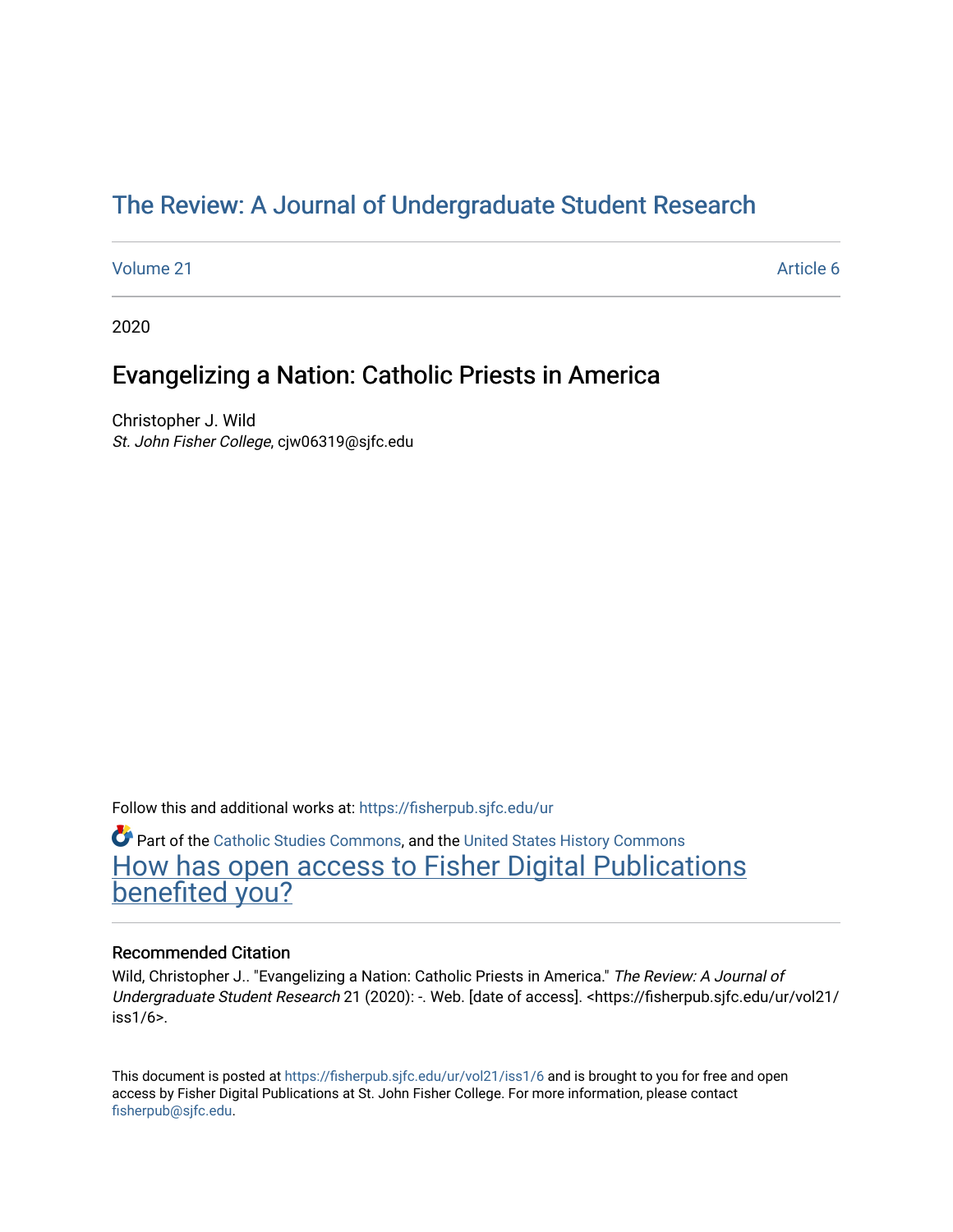# [The Review: A Journal of Undergraduate Student Research](https://fisherpub.sjfc.edu/ur)

[Volume 21](https://fisherpub.sjfc.edu/ur/vol21) Article 6

2020

## Evangelizing a Nation: Catholic Priests in America

Christopher J. Wild St. John Fisher College, cjw06319@sjfc.edu

Follow this and additional works at: [https://fisherpub.sjfc.edu/ur](https://fisherpub.sjfc.edu/ur?utm_source=fisherpub.sjfc.edu%2Fur%2Fvol21%2Fiss1%2F6&utm_medium=PDF&utm_campaign=PDFCoverPages) 

**C** Part of the [Catholic Studies Commons](http://network.bepress.com/hgg/discipline/1294?utm_source=fisherpub.sjfc.edu%2Fur%2Fvol21%2Fiss1%2F6&utm_medium=PDF&utm_campaign=PDFCoverPages), and the [United States History Commons](http://network.bepress.com/hgg/discipline/495?utm_source=fisherpub.sjfc.edu%2Fur%2Fvol21%2Fiss1%2F6&utm_medium=PDF&utm_campaign=PDFCoverPages) [How has open access to Fisher Digital Publications](https://docs.google.com/forms/d/14zrnDfH9d1wcdq8oG_-gFabAsxfcH5claltx85ZWyTg/viewform?entry.1394608989=https://fisherpub.sjfc.edu/ur/vol21/iss1/6%3Chttps://docs.google.com/forms/d/14zrnDfH9d1wcdq8oG_-gFabAsxfcH5claltx85ZWyTg/viewform?entry.1394608989=%7bhttps://fisherpub.sjfc.edu/ur/vol21/iss1/6%7d) [benefited you?](https://docs.google.com/forms/d/14zrnDfH9d1wcdq8oG_-gFabAsxfcH5claltx85ZWyTg/viewform?entry.1394608989=https://fisherpub.sjfc.edu/ur/vol21/iss1/6%3Chttps://docs.google.com/forms/d/14zrnDfH9d1wcdq8oG_-gFabAsxfcH5claltx85ZWyTg/viewform?entry.1394608989=%7bhttps://fisherpub.sjfc.edu/ur/vol21/iss1/6%7d)

#### Recommended Citation

Wild, Christopher J.. "Evangelizing a Nation: Catholic Priests in America." The Review: A Journal of Undergraduate Student Research 21 (2020): -. Web. [date of access]. <https://fisherpub.sjfc.edu/ur/vol21/ iss1/6>.

This document is posted at <https://fisherpub.sjfc.edu/ur/vol21/iss1/6> and is brought to you for free and open access by Fisher Digital Publications at St. John Fisher College. For more information, please contact [fisherpub@sjfc.edu](mailto:fisherpub@sjfc.edu).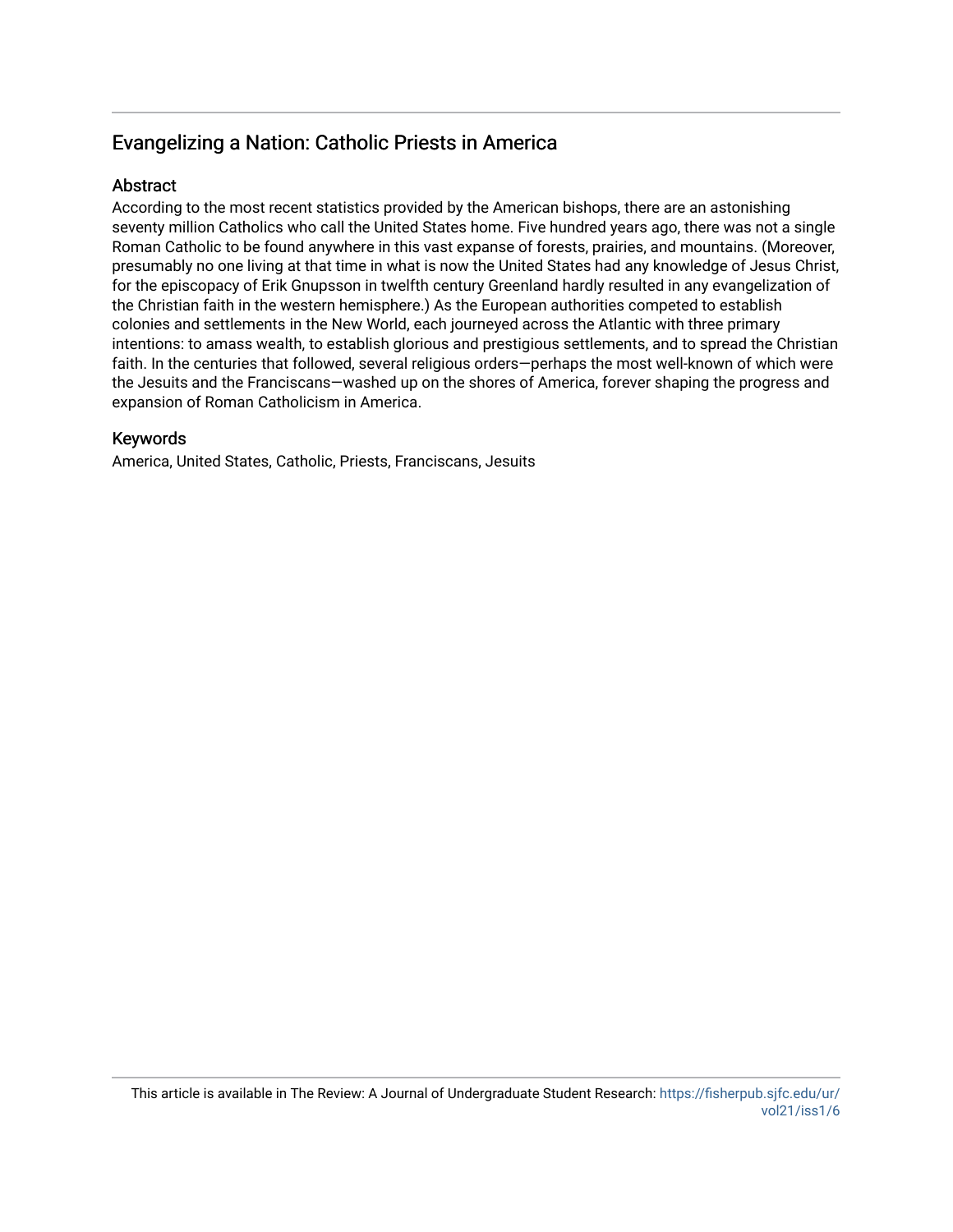## Evangelizing a Nation: Catholic Priests in America

### **Abstract**

According to the most recent statistics provided by the American bishops, there are an astonishing seventy million Catholics who call the United States home. Five hundred years ago, there was not a single Roman Catholic to be found anywhere in this vast expanse of forests, prairies, and mountains. (Moreover, presumably no one living at that time in what is now the United States had any knowledge of Jesus Christ, for the episcopacy of Erik Gnupsson in twelfth century Greenland hardly resulted in any evangelization of the Christian faith in the western hemisphere.) As the European authorities competed to establish colonies and settlements in the New World, each journeyed across the Atlantic with three primary intentions: to amass wealth, to establish glorious and prestigious settlements, and to spread the Christian faith. In the centuries that followed, several religious orders—perhaps the most well-known of which were the Jesuits and the Franciscans—washed up on the shores of America, forever shaping the progress and expansion of Roman Catholicism in America.

### Keywords

America, United States, Catholic, Priests, Franciscans, Jesuits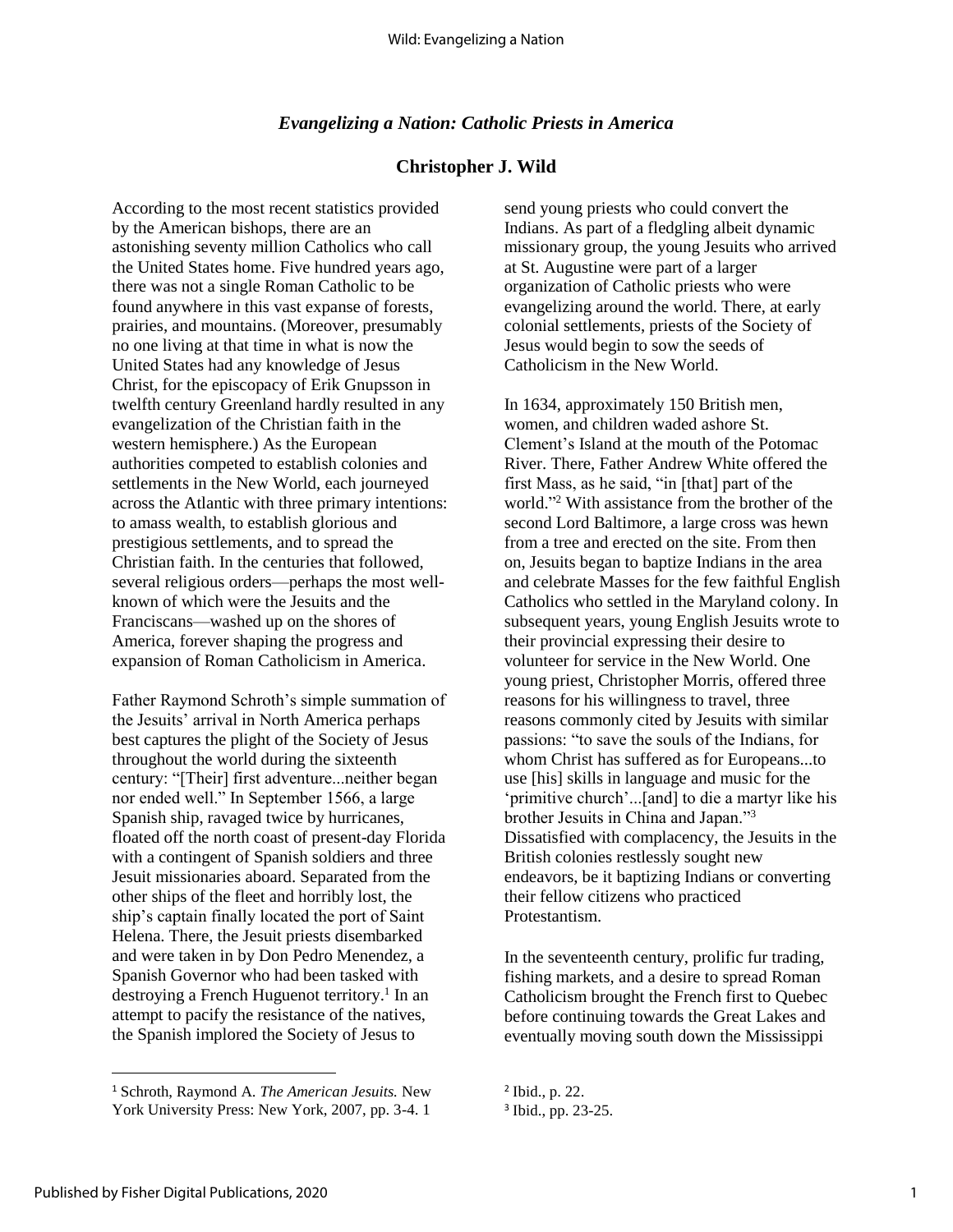#### *Evangelizing a Nation: Catholic Priests in America*

#### **Christopher J. Wild**

According to the most recent statistics provided by the American bishops, there are an astonishing seventy million Catholics who call the United States home. Five hundred years ago, there was not a single Roman Catholic to be found anywhere in this vast expanse of forests, prairies, and mountains. (Moreover, presumably no one living at that time in what is now the United States had any knowledge of Jesus Christ, for the episcopacy of Erik Gnupsson in twelfth century Greenland hardly resulted in any evangelization of the Christian faith in the western hemisphere.) As the European authorities competed to establish colonies and settlements in the New World, each journeyed across the Atlantic with three primary intentions: to amass wealth, to establish glorious and prestigious settlements, and to spread the Christian faith. In the centuries that followed, several religious orders—perhaps the most wellknown of which were the Jesuits and the Franciscans—washed up on the shores of America, forever shaping the progress and expansion of Roman Catholicism in America.

Father Raymond Schroth's simple summation of the Jesuits' arrival in North America perhaps best captures the plight of the Society of Jesus throughout the world during the sixteenth century: "[Their] first adventure...neither began nor ended well." In September 1566, a large Spanish ship, ravaged twice by hurricanes, floated off the north coast of present-day Florida with a contingent of Spanish soldiers and three Jesuit missionaries aboard. Separated from the other ships of the fleet and horribly lost, the ship's captain finally located the port of Saint Helena. There, the Jesuit priests disembarked and were taken in by Don Pedro Menendez, a Spanish Governor who had been tasked with destroying a French Huguenot territory. 1 In an attempt to pacify the resistance of the natives, the Spanish implored the Society of Jesus to

send young priests who could convert the Indians. As part of a fledgling albeit dynamic missionary group, the young Jesuits who arrived at St. Augustine were part of a larger organization of Catholic priests who were evangelizing around the world. There, at early colonial settlements, priests of the Society of Jesus would begin to sow the seeds of Catholicism in the New World.

In 1634, approximately 150 British men, women, and children waded ashore St. Clement's Island at the mouth of the Potomac River. There, Father Andrew White offered the first Mass, as he said, "in [that] part of the world." <sup>2</sup> With assistance from the brother of the second Lord Baltimore, a large cross was hewn from a tree and erected on the site. From then on, Jesuits began to baptize Indians in the area and celebrate Masses for the few faithful English Catholics who settled in the Maryland colony. In subsequent years, young English Jesuits wrote to their provincial expressing their desire to volunteer for service in the New World. One young priest, Christopher Morris, offered three reasons for his willingness to travel, three reasons commonly cited by Jesuits with similar passions: "to save the souls of the Indians, for whom Christ has suffered as for Europeans...to use [his] skills in language and music for the 'primitive church'...[and] to die a martyr like his brother Jesuits in China and Japan."<sup>3</sup> Dissatisfied with complacency, the Jesuits in the British colonies restlessly sought new endeavors, be it baptizing Indians or converting their fellow citizens who practiced Protestantism.

In the seventeenth century, prolific fur trading, fishing markets, and a desire to spread Roman Catholicism brought the French first to Quebec before continuing towards the Great Lakes and eventually moving south down the Mississippi

 $\overline{a}$ 

<sup>1</sup> Schroth, Raymond A. *The American Jesuits.* New York University Press: New York, 2007, pp. 3-4. 1

<sup>2</sup> Ibid., p. 22.

<sup>3</sup> Ibid., pp. 23-25.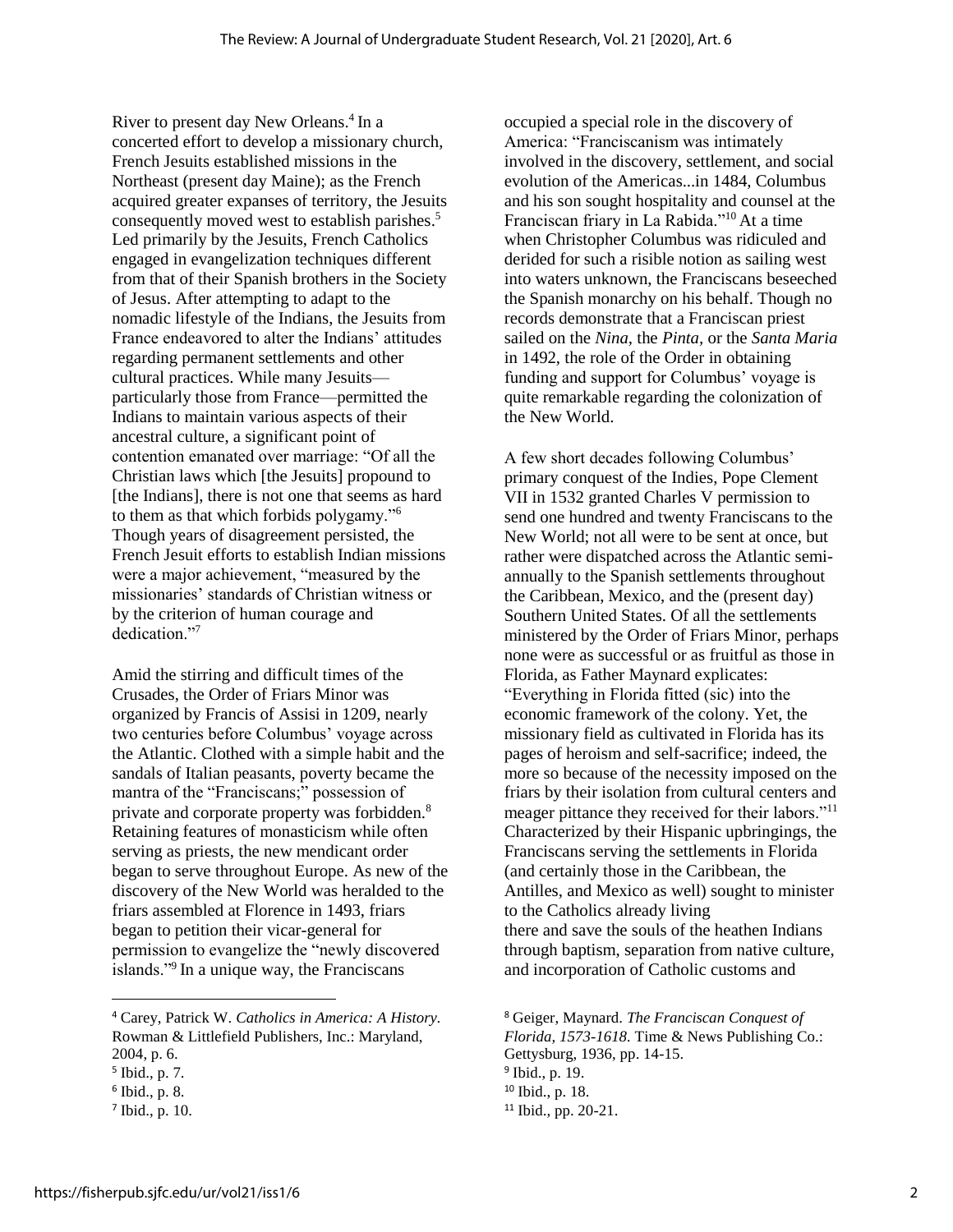River to present day New Orleans. 4 In a concerted effort to develop a missionary church, French Jesuits established missions in the Northeast (present day Maine); as the French acquired greater expanses of territory, the Jesuits consequently moved west to establish parishes. 5 Led primarily by the Jesuits, French Catholics engaged in evangelization techniques different from that of their Spanish brothers in the Society of Jesus. After attempting to adapt to the nomadic lifestyle of the Indians, the Jesuits from France endeavored to alter the Indians' attitudes regarding permanent settlements and other cultural practices. While many Jesuits particularly those from France—permitted the Indians to maintain various aspects of their ancestral culture, a significant point of contention emanated over marriage: "Of all the Christian laws which [the Jesuits] propound to [the Indians], there is not one that seems as hard to them as that which forbids polygamy."<sup>6</sup> Though years of disagreement persisted, the French Jesuit efforts to establish Indian missions were a major achievement, "measured by the missionaries' standards of Christian witness or by the criterion of human courage and dedication."<sup>7</sup>

Amid the stirring and difficult times of the Crusades, the Order of Friars Minor was organized by Francis of Assisi in 1209, nearly two centuries before Columbus' voyage across the Atlantic. Clothed with a simple habit and the sandals of Italian peasants, poverty became the mantra of the "Franciscans;" possession of private and corporate property was forbidden.<sup>8</sup> Retaining features of monasticism while often serving as priests, the new mendicant order began to serve throughout Europe. As new of the discovery of the New World was heralded to the friars assembled at Florence in 1493, friars began to petition their vicar-general for permission to evangelize the "newly discovered islands."<sup>9</sup> In a unique way, the Franciscans

 $\overline{a}$ 

occupied a special role in the discovery of America: "Franciscanism was intimately involved in the discovery, settlement, and social evolution of the Americas...in 1484, Columbus and his son sought hospitality and counsel at the Franciscan friary in La Rabida."<sup>10</sup> At a time when Christopher Columbus was ridiculed and derided for such a risible notion as sailing west into waters unknown, the Franciscans beseeched the Spanish monarchy on his behalf. Though no records demonstrate that a Franciscan priest sailed on the *Nina,* the *Pinta,* or the *Santa Maria*  in 1492, the role of the Order in obtaining funding and support for Columbus' voyage is quite remarkable regarding the colonization of the New World.

A few short decades following Columbus' primary conquest of the Indies, Pope Clement VII in 1532 granted Charles V permission to send one hundred and twenty Franciscans to the New World; not all were to be sent at once, but rather were dispatched across the Atlantic semiannually to the Spanish settlements throughout the Caribbean, Mexico, and the (present day) Southern United States. Of all the settlements ministered by the Order of Friars Minor, perhaps none were as successful or as fruitful as those in Florida, as Father Maynard explicates: "Everything in Florida fitted (sic) into the economic framework of the colony. Yet, the missionary field as cultivated in Florida has its pages of heroism and self-sacrifice; indeed, the more so because of the necessity imposed on the friars by their isolation from cultural centers and meager pittance they received for their labors."<sup>11</sup> Characterized by their Hispanic upbringings, the Franciscans serving the settlements in Florida (and certainly those in the Caribbean, the Antilles, and Mexico as well) sought to minister to the Catholics already living there and save the souls of the heathen Indians through baptism, separation from native culture, and incorporation of Catholic customs and

<sup>4</sup> Carey, Patrick W. *Catholics in America: A History.*  Rowman & Littlefield Publishers, Inc.: Maryland, 2004, p. 6.

<sup>5</sup> Ibid., p. 7.

<sup>6</sup> Ibid., p. 8.

<sup>7</sup> Ibid., p. 10.

<sup>8</sup> Geiger, Maynard. *The Franciscan Conquest of Florida, 1573-1618.* Time & News Publishing Co.: Gettysburg, 1936, pp. 14-15. <sup>9</sup> Ibid., p. 19. <sup>10</sup> Ibid., p. 18. <sup>11</sup> Ibid., pp. 20-21.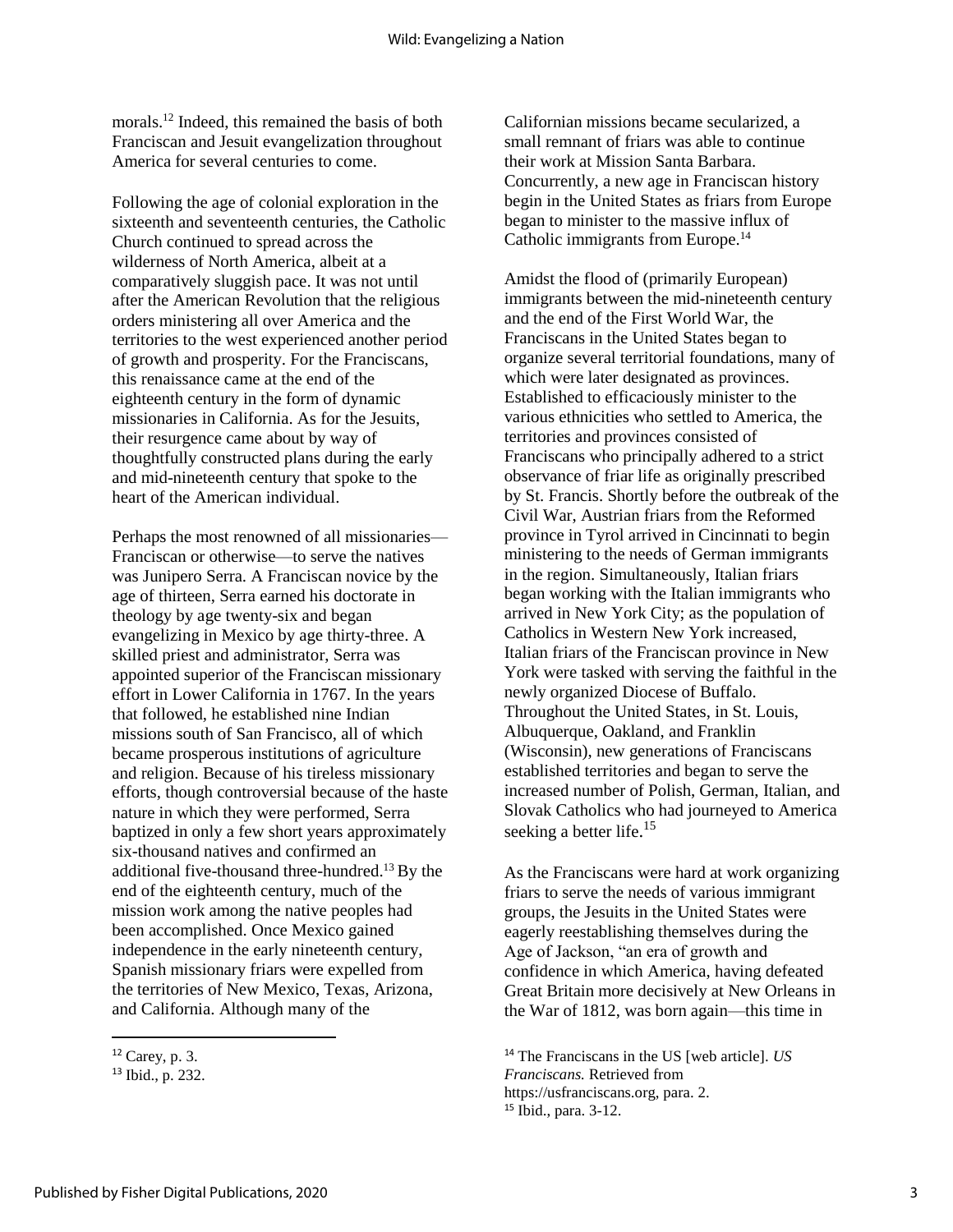morals.<sup>12</sup> Indeed, this remained the basis of both Franciscan and Jesuit evangelization throughout America for several centuries to come.

Following the age of colonial exploration in the sixteenth and seventeenth centuries, the Catholic Church continued to spread across the wilderness of North America, albeit at a comparatively sluggish pace. It was not until after the American Revolution that the religious orders ministering all over America and the territories to the west experienced another period of growth and prosperity. For the Franciscans, this renaissance came at the end of the eighteenth century in the form of dynamic missionaries in California. As for the Jesuits, their resurgence came about by way of thoughtfully constructed plans during the early and mid-nineteenth century that spoke to the heart of the American individual.

Perhaps the most renowned of all missionaries— Franciscan or otherwise—to serve the natives was Junipero Serra. A Franciscan novice by the age of thirteen, Serra earned his doctorate in theology by age twenty-six and began evangelizing in Mexico by age thirty-three. A skilled priest and administrator, Serra was appointed superior of the Franciscan missionary effort in Lower California in 1767. In the years that followed, he established nine Indian missions south of San Francisco, all of which became prosperous institutions of agriculture and religion. Because of his tireless missionary efforts, though controversial because of the haste nature in which they were performed, Serra baptized in only a few short years approximately six-thousand natives and confirmed an additional five-thousand three-hundred.<sup>13</sup> By the end of the eighteenth century, much of the mission work among the native peoples had been accomplished. Once Mexico gained independence in the early nineteenth century, Spanish missionary friars were expelled from the territories of New Mexico, Texas, Arizona, and California. Although many of the

 $\overline{a}$ 

Californian missions became secularized, a small remnant of friars was able to continue their work at Mission Santa Barbara. Concurrently, a new age in Franciscan history begin in the United States as friars from Europe began to minister to the massive influx of Catholic immigrants from Europe.<sup>14</sup>

Amidst the flood of (primarily European) immigrants between the mid-nineteenth century and the end of the First World War, the Franciscans in the United States began to organize several territorial foundations, many of which were later designated as provinces. Established to efficaciously minister to the various ethnicities who settled to America, the territories and provinces consisted of Franciscans who principally adhered to a strict observance of friar life as originally prescribed by St. Francis. Shortly before the outbreak of the Civil War, Austrian friars from the Reformed province in Tyrol arrived in Cincinnati to begin ministering to the needs of German immigrants in the region. Simultaneously, Italian friars began working with the Italian immigrants who arrived in New York City; as the population of Catholics in Western New York increased, Italian friars of the Franciscan province in New York were tasked with serving the faithful in the newly organized Diocese of Buffalo. Throughout the United States, in St. Louis, Albuquerque, Oakland, and Franklin (Wisconsin), new generations of Franciscans established territories and began to serve the increased number of Polish, German, Italian, and Slovak Catholics who had journeyed to America seeking a better life.<sup>15</sup>

As the Franciscans were hard at work organizing friars to serve the needs of various immigrant groups, the Jesuits in the United States were eagerly reestablishing themselves during the Age of Jackson, "an era of growth and confidence in which America, having defeated Great Britain more decisively at New Orleans in the War of 1812, was born again—this time in

<sup>14</sup> The Franciscans in the US [web article]. *US Franciscans.* Retrieved from https://usfranciscans.org, para. 2. <sup>15</sup> Ibid., para. 3-12.

 $12$  Carey, p. 3.

<sup>13</sup> Ibid., p. 232.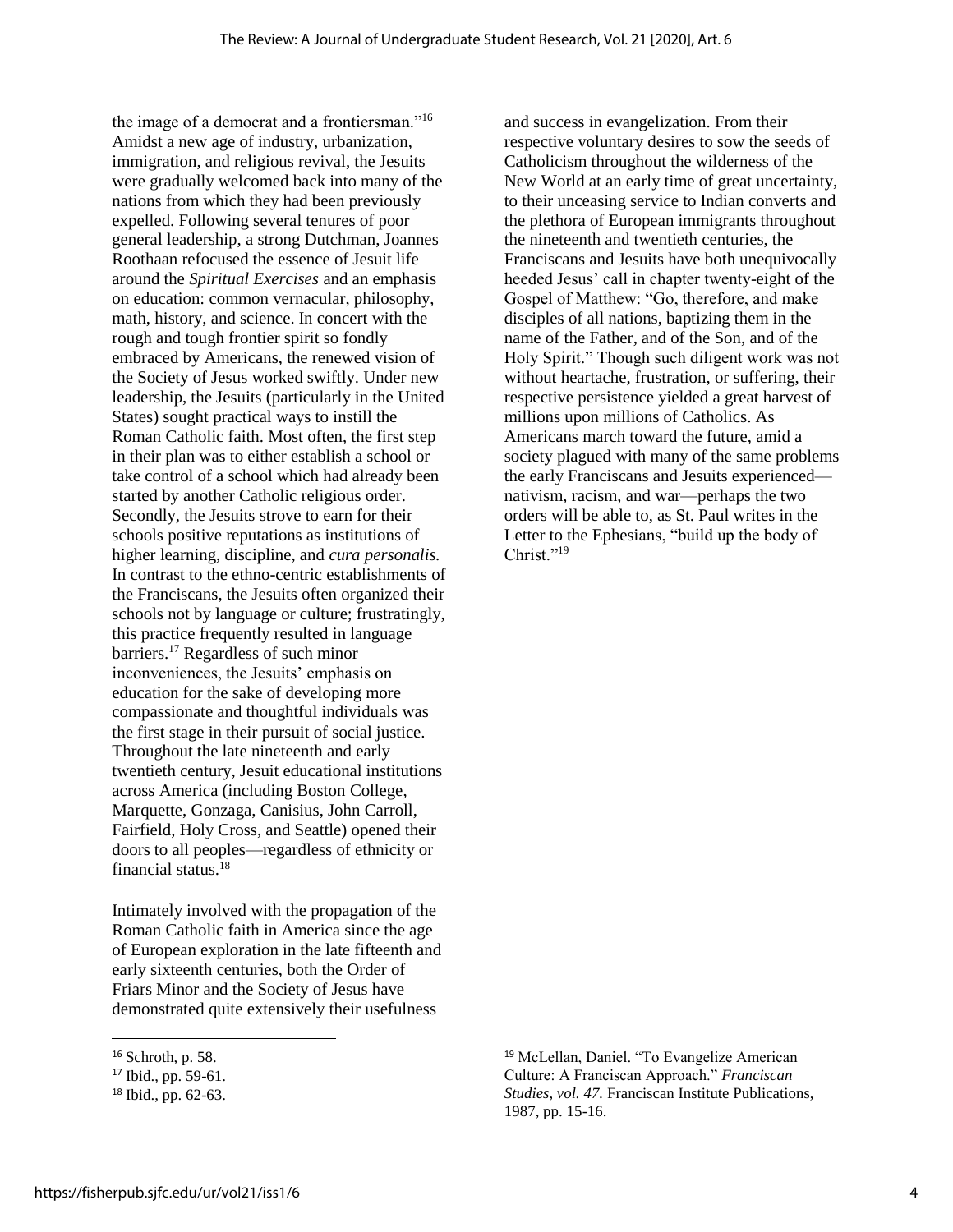the image of a democrat and a frontiersman."<sup>16</sup> Amidst a new age of industry, urbanization, immigration, and religious revival, the Jesuits were gradually welcomed back into many of the nations from which they had been previously expelled. Following several tenures of poor general leadership, a strong Dutchman, Joannes Roothaan refocused the essence of Jesuit life around the *Spiritual Exercises* and an emphasis on education: common vernacular, philosophy, math, history, and science. In concert with the rough and tough frontier spirit so fondly embraced by Americans, the renewed vision of the Society of Jesus worked swiftly. Under new leadership, the Jesuits (particularly in the United States) sought practical ways to instill the Roman Catholic faith. Most often, the first step in their plan was to either establish a school or take control of a school which had already been started by another Catholic religious order. Secondly, the Jesuits strove to earn for their schools positive reputations as institutions of higher learning, discipline, and *cura personalis.*  In contrast to the ethno-centric establishments of the Franciscans, the Jesuits often organized their schools not by language or culture; frustratingly, this practice frequently resulted in language barriers.<sup>17</sup> Regardless of such minor inconveniences, the Jesuits' emphasis on education for the sake of developing more compassionate and thoughtful individuals was the first stage in their pursuit of social justice. Throughout the late nineteenth and early twentieth century, Jesuit educational institutions across America (including Boston College, Marquette, Gonzaga, Canisius, John Carroll, Fairfield, Holy Cross, and Seattle) opened their doors to all peoples—regardless of ethnicity or financial status.<sup>18</sup>

Intimately involved with the propagation of the Roman Catholic faith in America since the age of European exploration in the late fifteenth and early sixteenth centuries, both the Order of Friars Minor and the Society of Jesus have demonstrated quite extensively their usefulness

 $\overline{a}$ 

and success in evangelization. From their respective voluntary desires to sow the seeds of Catholicism throughout the wilderness of the New World at an early time of great uncertainty, to their unceasing service to Indian converts and the plethora of European immigrants throughout the nineteenth and twentieth centuries, the Franciscans and Jesuits have both unequivocally heeded Jesus' call in chapter twenty-eight of the Gospel of Matthew: "Go, therefore, and make disciples of all nations, baptizing them in the name of the Father, and of the Son, and of the Holy Spirit." Though such diligent work was not without heartache, frustration, or suffering, their respective persistence yielded a great harvest of millions upon millions of Catholics. As Americans march toward the future, amid a society plagued with many of the same problems the early Franciscans and Jesuits experienced nativism, racism, and war—perhaps the two orders will be able to, as St. Paul writes in the Letter to the Ephesians, "build up the body of Christ."<sup>19</sup>

<sup>16</sup> Schroth, p. 58.

<sup>17</sup> Ibid., pp. 59-61.

<sup>18</sup> Ibid., pp. 62-63.

<sup>19</sup> McLellan, Daniel. "To Evangelize American Culture: A Franciscan Approach." *Franciscan Studies, vol. 47.* Franciscan Institute Publications, 1987, pp. 15-16.